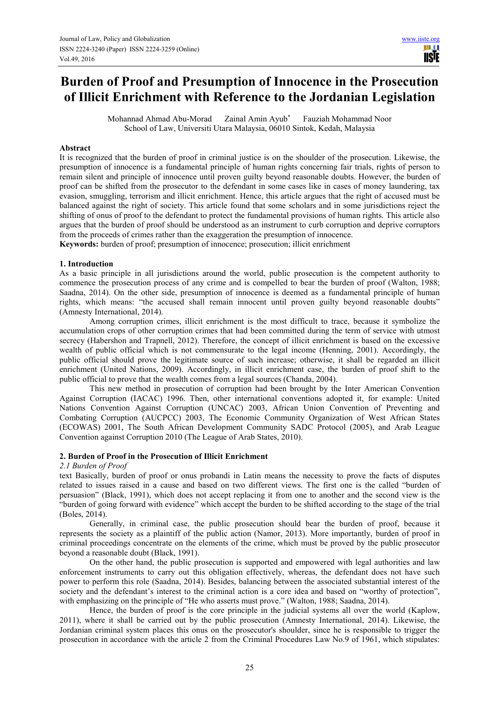# **Burden of Proof and Presumption of Innocence in the Prosecution of Illicit Enrichment with Reference to the Jordanian Legislation**

Mohannad Ahmad Abu-Morad Zainal Amin Ayub\* Fauziah Mohammad Noor School of Law, Universiti Utara Malaysia, 06010 Sintok, Kedah, Malaysia

#### **Abstract**

It is recognized that the burden of proof in criminal justice is on the shoulder of the prosecution. Likewise, the presumption of innocence is a fundamental principle of human rights concerning fair trials, rights of person to remain silent and principle of innocence until proven guilty beyond reasonable doubts. However, the burden of proof can be shifted from the prosecutor to the defendant in some cases like in cases of money laundering, tax evasion, smuggling, terrorism and illicit enrichment. Hence, this article argues that the right of accused must be balanced against the right of society. This article found that some scholars and in some jurisdictions reject the shifting of onus of proof to the defendant to protect the fundamental provisions of human rights. This article also argues that the burden of proof should be understood as an instrument to curb corruption and deprive corruptors from the proceeds of crimes rather than the exaggeration the presumption of innocence.

**Keywords:** burden of proof; presumption of innocence; prosecution; illicit enrichment

#### **1. Introduction**

As a basic principle in all jurisdictions around the world, public prosecution is the competent authority to commence the prosecution process of any crime and is compelled to bear the burden of proof (Walton, 1988; Saadna, 2014). On the other side, presumption of innocence is deemed as a fundamental principle of human rights, which means: "the accused shall remain innocent until proven guilty beyond reasonable doubts" (Amnesty International, 2014).

Among corruption crimes, illicit enrichment is the most difficult to trace, because it symbolize the accumulation crops of other corruption crimes that had been committed during the term of service with utmost secrecy (Habershon and Trapnell, 2012). Therefore, the concept of illicit enrichment is based on the excessive wealth of public official which is not commensurate to the legal income (Henning, 2001). Accordingly, the public official should prove the legitimate source of such increase; otherwise, it shall be regarded an illicit enrichment (United Nations, 2009). Accordingly, in illicit enrichment case, the burden of proof shift to the public official to prove that the wealth comes from a legal sources (Chanda, 2004).

This new method in prosecution of corruption had been brought by the Inter American Convention Against Corruption (IACAC) 1996. Then, other international conventions adopted it, for example: United Nations Convention Against Corruption (UNCAC) 2003, African Union Convention of Preventing and Combating Corruption (AUCPCC) 2003, The Economic Community Organization of West African States (ECOWAS) 2001, The South African Development Community SADC Protocol (2005), and Arab League Convention against Corruption 2010 (The League of Arab States, 2010).

#### **2. Burden of Proof in the Prosecution of Illicit Enrichment**

#### *2.1 Burden of Proof*

text Basically, burden of proof or onus probandi in Latin means the necessity to prove the facts of disputes related to issues raised in a cause and based on two different views. The first one is the called "burden of persuasion" (Black, 1991), which does not accept replacing it from one to another and the second view is the "burden of going forward with evidence" which accept the burden to be shifted according to the stage of the trial (Boles, 2014).

Generally, in criminal case, the public prosecution should bear the burden of proof, because it represents the society as a plaintiff of the public action (Namor, 2013). More importantly, burden of proof in criminal proceedings concentrate on the elements of the crime, which must be proved by the public prosecutor beyond a reasonable doubt (Black, 1991).

On the other hand, the public prosecution is supported and empowered with legal authorities and law enforcement instruments to carry out this obligation effectively, whereas, the defendant does not have such power to perform this role (Saadna, 2014). Besides, balancing between the associated substantial interest of the society and the defendant's interest to the criminal action is a core idea and based on "worthy of protection", with emphasizing on the principle of "He who asserts must prove." (Walton, 1988; Saadna, 2014).

Hence, the burden of proof is the core principle in the judicial systems all over the world (Kaplow, 2011), where it shall be carried out by the public prosecution (Amnesty International, 2014). Likewise, the Jordanian criminal system places this onus on the prosecutor's shoulder, since he is responsible to trigger the prosecution in accordance with the article 2 from the Criminal Procedures Law No.9 of 1961, which stipulates: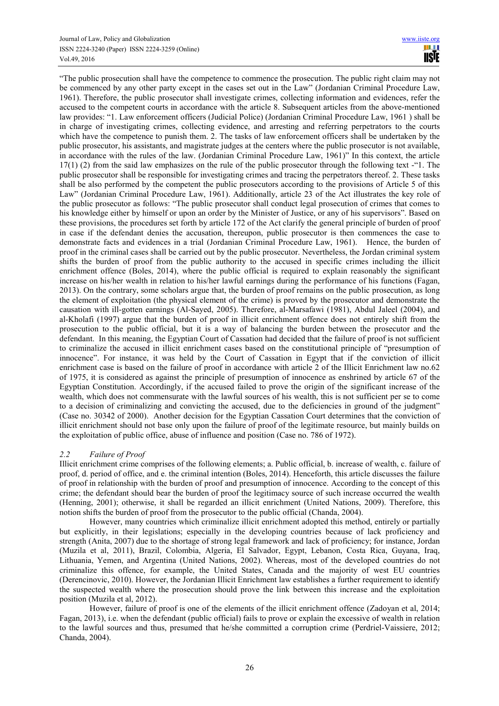"The public prosecution shall have the competence to commence the prosecution. The public right claim may not be commenced by any other party except in the cases set out in the Law" (Jordanian Criminal Procedure Law, 1961). Therefore, the public prosecutor shall investigate crimes, collecting information and evidences, refer the accused to the competent courts in accordance with the article 8. Subsequent articles from the above-mentioned law provides: "1. Law enforcement officers (Judicial Police) (Jordanian Criminal Procedure Law, 1961 ) shall be in charge of investigating crimes, collecting evidence, and arresting and referring perpetrators to the courts which have the competence to punish them. 2. The tasks of law enforcement officers shall be undertaken by the public prosecutor, his assistants, and magistrate judges at the centers where the public prosecutor is not available, in accordance with the rules of the law. (Jordanian Criminal Procedure Law, 1961)" In this context, the article 17(1) (2) from the said law emphasizes on the rule of the public prosecutor through the following text -"1. The public prosecutor shall be responsible for investigating crimes and tracing the perpetrators thereof. 2. These tasks shall be also performed by the competent the public prosecutors according to the provisions of Article 5 of this Law" (Jordanian Criminal Procedure Law, 1961). Additionally, article 23 of the Act illustrates the key role of the public prosecutor as follows: "The public prosecutor shall conduct legal prosecution of crimes that comes to his knowledge either by himself or upon an order by the Minister of Justice, or any of his supervisors". Based on these provisions, the procedures set forth by article 172 of the Act clarify the general principle of burden of proof in case if the defendant denies the accusation, thereupon, public prosecutor is then commences the case to demonstrate facts and evidences in a trial (Jordanian Criminal Procedure Law, 1961). Hence, the burden of proof in the criminal cases shall be carried out by the public prosecutor. Nevertheless, the Jordan criminal system shifts the burden of proof from the public authority to the accused in specific crimes including the illicit enrichment offence (Boles, 2014), where the public official is required to explain reasonably the significant increase on his/her wealth in relation to his/her lawful earnings during the performance of his functions (Fagan, 2013). On the contrary, some scholars argue that, the burden of proof remains on the public prosecution, as long the element of exploitation (the physical element of the crime) is proved by the prosecutor and demonstrate the causation with ill-gotten earnings (Al-Sayed, 2005). Therefore, al-Marsafawi (1981), Abdul Jaleel (2004), and al-Kholafi (1997) argue that the burden of proof in illicit enrichment offence does not entirely shift from the prosecution to the public official, but it is a way of balancing the burden between the prosecutor and the defendant. In this meaning, the Egyptian Court of Cassation had decided that the failure of proof is not sufficient to criminalize the accused in illicit enrichment cases based on the constitutional principle of "presumption of innocence". For instance, it was held by the Court of Cassation in Egypt that if the conviction of illicit enrichment case is based on the failure of proof in accordance with article 2 of the Illicit Enrichment law no.62 of 1975, it is considered as against the principle of presumption of innocence as enshrined by article 67 of the Egyptian Constitution. Accordingly, if the accused failed to prove the origin of the significant increase of the wealth, which does not commensurate with the lawful sources of his wealth, this is not sufficient per se to come to a decision of criminalizing and convicting the accused, due to the deficiencies in ground of the judgment" (Case no. 30342 of 2000). Another decision for the Egyptian Cassation Court determines that the conviction of illicit enrichment should not base only upon the failure of proof of the legitimate resource, but mainly builds on the exploitation of public office, abuse of influence and position (Case no. 786 of 1972).

# *2.2 Failure of Proof*

Illicit enrichment crime comprises of the following elements; a. Public official, b. increase of wealth, c. failure of proof, d. period of office, and e. the criminal intention (Boles, 2014). Henceforth, this article discusses the failure of proof in relationship with the burden of proof and presumption of innocence. According to the concept of this crime; the defendant should bear the burden of proof the legitimacy source of such increase occurred the wealth (Henning, 2001); otherwise, it shall be regarded an illicit enrichment (United Nations, 2009). Therefore, this notion shifts the burden of proof from the prosecutor to the public official (Chanda, 2004).

However, many countries which criminalize illicit enrichment adopted this method, entirely or partially but explicitly, in their legislations; especially in the developing countries because of lack proficiency and strength (Anita, 2007) due to the shortage of strong legal framework and lack of proficiency; for instance, Jordan (Muzila et al, 2011), Brazil, Colombia, Algeria, El Salvador, Egypt, Lebanon, Costa Rica, Guyana, Iraq, Lithuania, Yemen, and Argentina (United Nations, 2002). Whereas, most of the developed countries do not criminalize this offence, for example, the United States, Canada and the majority of west EU countries (Derencinovic, 2010). However, the Jordanian Illicit Enrichment law establishes a further requirement to identify the suspected wealth where the prosecution should prove the link between this increase and the exploitation position (Muzila et al, 2012).

However, failure of proof is one of the elements of the illicit enrichment offence (Zadoyan et al, 2014; Fagan, 2013), i.e. when the defendant (public official) fails to prove or explain the excessive of wealth in relation to the lawful sources and thus, presumed that he/she committed a corruption crime (Perdriel-Vaissiere, 2012; Chanda, 2004).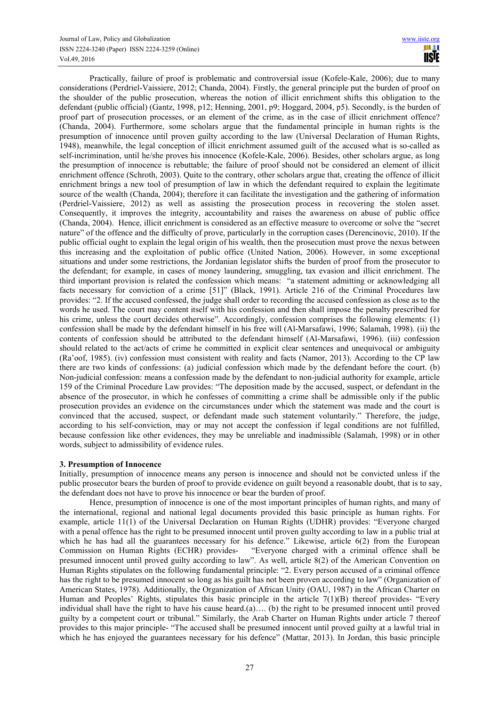Practically, failure of proof is problematic and controversial issue (Kofele-Kale, 2006); due to many considerations (Perdriel-Vaissiere, 2012; Chanda, 2004). Firstly, the general principle put the burden of proof on the shoulder of the public prosecution, whereas the notion of illicit enrichment shifts this obligation to the defendant (public official) (Gantz, 1998, p12; Henning, 2001, p9; Hoggard, 2004, p5). Secondly, is the burden of proof part of prosecution processes, or an element of the crime, as in the case of illicit enrichment offence? (Chanda, 2004). Furthermore, some scholars argue that the fundamental principle in human rights is the presumption of innocence until proven guilty according to the law (Universal Declaration of Human Rights, 1948), meanwhile, the legal conception of illicit enrichment assumed guilt of the accused what is so-called as self-incrimination, until he/she proves his innocence (Kofele-Kale, 2006). Besides, other scholars argue, as long the presumption of innocence is rebuttable; the failure of proof should not be considered an element of illicit enrichment offence (Schroth, 2003). Quite to the contrary, other scholars argue that, creating the offence of illicit enrichment brings a new tool of presumption of law in which the defendant required to explain the legitimate source of the wealth (Chanda, 2004); therefore it can facilitate the investigation and the gathering of information (Perdriel-Vaissiere, 2012) as well as assisting the prosecution process in recovering the stolen asset. Consequently, it improves the integrity, accountability and raises the awareness on abuse of public office (Chanda, 2004). Hence, illicit enrichment is considered as an effective measure to overcome or solve the "secret nature" of the offence and the difficulty of prove, particularly in the corruption cases (Derencinovic, 2010). If the public official ought to explain the legal origin of his wealth, then the prosecution must prove the nexus between this increasing and the exploitation of public office (United Nation, 2006). However, in some exceptional situations and under some restrictions, the Jordanian legislator shifts the burden of proof from the prosecutor to the defendant; for example, in cases of money laundering, smuggling, tax evasion and illicit enrichment. The third important provision is related the confession which means: "a statement admitting or acknowledging all facts necessary for conviction of a crime [51]" (Black, 1991). Article 216 of the Criminal Procedures law provides: "2. If the accused confessed, the judge shall order to recording the accused confession as close as to the words he used. The court may content itself with his confession and then shall impose the penalty prescribed for his crime, unless the court decides otherwise". Accordingly, confession comprises the following elements: (1) confession shall be made by the defendant himself in his free will (Al-Marsafawi, 1996; Salamah, 1998). (ii) the contents of confession should be attributed to the defendant himself (Al-Marsafawi, 1996). (iii) confession should related to the act/acts of crime he committed in explicit clear sentences and unequivocal or ambiguity (Ra'oof, 1985). (iv) confession must consistent with reality and facts (Namor, 2013). According to the CP law there are two kinds of confessions: (a) judicial confession which made by the defendant before the court. (b) Non-judicial confession: means a confession made by the defendant to non-judicial authority for example, article 159 of the Criminal Procedure Law provides: "The deposition made by the accused, suspect, or defendant in the absence of the prosecutor, in which he confesses of committing a crime shall be admissible only if the public prosecution provides an evidence on the circumstances under which the statement was made and the court is convinced that the accused, suspect, or defendant made such statement voluntarily." Therefore, the judge, according to his self-conviction, may or may not accept the confession if legal conditions are not fulfilled, because confession like other evidences, they may be unreliable and inadmissible (Salamah, 1998) or in other words, subject to admissibility of evidence rules.

# **3. Presumption of Innocence**

Initially, presumption of innocence means any person is innocence and should not be convicted unless if the public prosecutor bears the burden of proof to provide evidence on guilt beyond a reasonable doubt, that is to say, the defendant does not have to prove his innocence or bear the burden of proof.

Hence, presumption of innocence is one of the most important principles of human rights, and many of the international, regional and national legal documents provided this basic principle as human rights. For example, article 11(1) of the Universal Declaration on Human Rights (UDHR) provides: "Everyone charged with a penal offence has the right to be presumed innocent until proven guilty according to law in a public trial at which he has had all the guarantees necessary for his defence." Likewise, article 6(2) from the European Commission on Human Rights (ECHR) provides- "Everyone charged with a criminal offence shall be presumed innocent until proved guilty according to law". As well, article 8(2) of the American Convention on Human Rights stipulates on the following fundamental principle: "2. Every person accused of a criminal offence has the right to be presumed innocent so long as his guilt has not been proven according to law" (Organization of American States, 1978). Additionally, the Organization of African Unity (OAU, 1987) in the African Charter on Human and Peoples' Rights, stipulates this basic principle in the article  $7(1)(B)$  thereof provides- "Every individual shall have the right to have his cause heard.(a).... (b) the right to be presumed innocent until proved guilty by a competent court or tribunal." Similarly, the Arab Charter on Human Rights under article 7 thereof provides to this major principle- "The accused shall be presumed innocent until proved guilty at a lawful trial in which he has enjoyed the guarantees necessary for his defence" (Mattar, 2013). In Jordan, this basic principle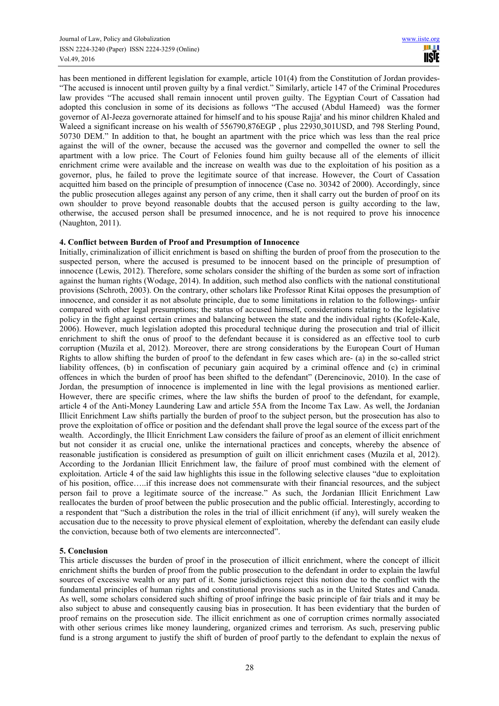has been mentioned in different legislation for example, article 101(4) from the Constitution of Jordan provides-"The accused is innocent until proven guilty by a final verdict." Similarly, article 147 of the Criminal Procedures law provides "The accused shall remain innocent until proven guilty. The Egyptian Court of Cassation had adopted this conclusion in some of its decisions as follows "The accused (Abdul Hameed) was the former governor of Al-Jeeza governorate attained for himself and to his spouse Rajja' and his minor children Khaled and Waleed a significant increase on his wealth of 556790,876EGP , plus 22930,301USD, and 798 Sterling Pound, 50730 DEM." In addition to that, he bought an apartment with the price which was less than the real price against the will of the owner, because the accused was the governor and compelled the owner to sell the apartment with a low price. The Court of Felonies found him guilty because all of the elements of illicit enrichment crime were available and the increase on wealth was due to the exploitation of his position as a governor, plus, he failed to prove the legitimate source of that increase. However, the Court of Cassation acquitted him based on the principle of presumption of innocence (Case no. 30342 of 2000). Accordingly, since the public prosecution alleges against any person of any crime, then it shall carry out the burden of proof on its own shoulder to prove beyond reasonable doubts that the accused person is guilty according to the law, otherwise, the accused person shall be presumed innocence, and he is not required to prove his innocence (Naughton, 2011).

## **4. Conflict between Burden of Proof and Presumption of Innocence**

Initially, criminalization of illicit enrichment is based on shifting the burden of proof from the prosecution to the suspected person, where the accused is presumed to be innocent based on the principle of presumption of innocence (Lewis, 2012). Therefore, some scholars consider the shifting of the burden as some sort of infraction against the human rights (Wodage, 2014). In addition, such method also conflicts with the national constitutional provisions (Schroth, 2003). On the contrary, other scholars like Professor Rinat Kitai opposes the presumption of innocence, and consider it as not absolute principle, due to some limitations in relation to the followings- unfair compared with other legal presumptions; the status of accused himself, considerations relating to the legislative policy in the fight against certain crimes and balancing between the state and the individual rights (Kofele-Kale, 2006). However, much legislation adopted this procedural technique during the prosecution and trial of illicit enrichment to shift the onus of proof to the defendant because it is considered as an effective tool to curb corruption (Muzila et al, 2012). Moreover, there are strong considerations by the European Court of Human Rights to allow shifting the burden of proof to the defendant in few cases which are- (a) in the so-called strict liability offences, (b) in confiscation of pecuniary gain acquired by a criminal offence and (c) in criminal offences in which the burden of proof has been shifted to the defendant" (Derencinovic, 2010). In the case of Jordan, the presumption of innocence is implemented in line with the legal provisions as mentioned earlier. However, there are specific crimes, where the law shifts the burden of proof to the defendant, for example, article 4 of the Anti-Money Laundering Law and article 55A from the Income Tax Law. As well, the Jordanian Illicit Enrichment Law shifts partially the burden of proof to the subject person, but the prosecution has also to prove the exploitation of office or position and the defendant shall prove the legal source of the excess part of the wealth. Accordingly, the Illicit Enrichment Law considers the failure of proof as an element of illicit enrichment but not consider it as crucial one, unlike the international practices and concepts, whereby the absence of reasonable justification is considered as presumption of guilt on illicit enrichment cases (Muzila et al, 2012). According to the Jordanian Illicit Enrichment law, the failure of proof must combined with the element of exploitation. Article 4 of the said law highlights this issue in the following selective clauses "due to exploitation of his position, office…..if this increase does not commensurate with their financial resources, and the subject person fail to prove a legitimate source of the increase." As such, the Jordanian Illicit Enrichment Law reallocates the burden of proof between the public prosecution and the public official. Interestingly, according to a respondent that "Such a distribution the roles in the trial of illicit enrichment (if any), will surely weaken the accusation due to the necessity to prove physical element of exploitation, whereby the defendant can easily elude the conviction, because both of two elements are interconnected".

# **5. Conclusion**

This article discusses the burden of proof in the prosecution of illicit enrichment, where the concept of illicit enrichment shifts the burden of proof from the public prosecution to the defendant in order to explain the lawful sources of excessive wealth or any part of it. Some jurisdictions reject this notion due to the conflict with the fundamental principles of human rights and constitutional provisions such as in the United States and Canada. As well, some scholars considered such shifting of proof infringe the basic principle of fair trials and it may be also subject to abuse and consequently causing bias in prosecution. It has been evidentiary that the burden of proof remains on the prosecution side. The illicit enrichment as one of corruption crimes normally associated with other serious crimes like money laundering, organized crimes and terrorism. As such, preserving public fund is a strong argument to justify the shift of burden of proof partly to the defendant to explain the nexus of